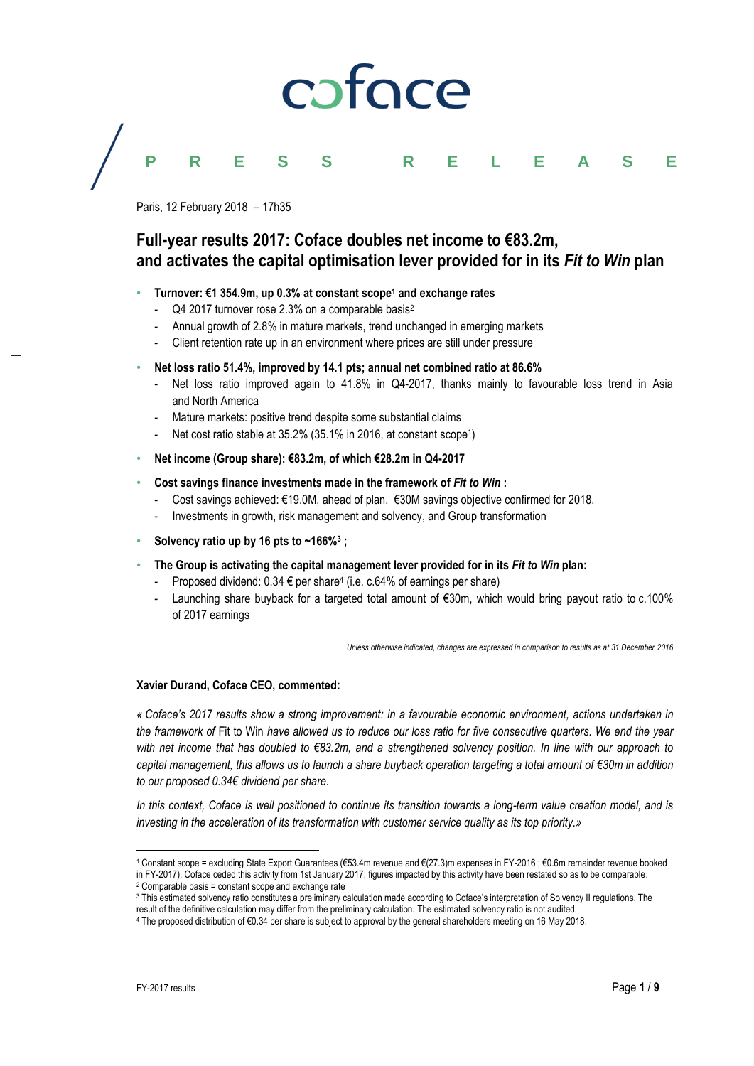# caface

# **PRESS RELEASE**

Paris, 12 February 2018 – 17h35

# **Full-year results 2017: Coface doubles net income to €83.2m, and activates the capital optimisation lever provided for in its** *Fit to Win* **plan**

# • **Turnover: €1 354.9m, up 0.3% at constant scope<sup>1</sup> and exchange rates**

- Q4 2017 turnover rose 2.3% on a comparable basis<sup>2</sup>
- Annual growth of 2.8% in mature markets, trend unchanged in emerging markets
- Client retention rate up in an environment where prices are still under pressure
- **Net loss ratio 51.4%, improved by 14.1 pts; annual net combined ratio at 86.6%**
	- Net loss ratio improved again to 41.8% in Q4-2017, thanks mainly to favourable loss trend in Asia and North America
	- Mature markets: positive trend despite some substantial claims
	- Net cost ratio stable at 35.2% (35.1% in 2016, at constant scope<sup>1</sup>)
- **Net income (Group share): €83.2m, of which €28.2m in Q4-2017**
- **Cost savings finance investments made in the framework of** *Fit to Win* **:**
	- Cost savings achieved: €19.0M, ahead of plan. €30M savings objective confirmed for 2018.
	- Investments in growth, risk management and solvency, and Group transformation
- **Solvency ratio up by 16 pts to ~166%<sup>3</sup> ;**
- **The Group is activating the capital management lever provided for in its** *Fit to Win* **plan:**
	- Proposed dividend:  $0.34 \in$  per share<sup>4</sup> (i.e. c.64% of earnings per share)
	- Launching share buyback for a targeted total amount of €30m, which would bring payout ratio to c.100% of 2017 earnings

*Unless otherwise indicated, changes are expressed in comparison to results as at 31 December 2016*

# **Xavier Durand, Coface CEO, commented:**

*« Coface's 2017 results show a strong improvement: in a favourable economic environment, actions undertaken in the framework of* Fit to Win *have allowed us to reduce our loss ratio for five consecutive quarters. We end the year with net income that has doubled to €83.2m, and a strengthened solvency position. In line with our approach to capital management, this allows us to launch a share buyback operation targeting a total amount of €30m in addition to our proposed 0.34€ dividend per share.*

*In this context, Coface is well positioned to continue its transition towards a long-term value creation model, and is investing in the acceleration of its transformation with customer service quality as its top priority.»*

 $\overline{a}$ 

<sup>1</sup> Constant scope = excluding State Export Guarantees (€53.4m revenue and €(27.3)m expenses in FY-2016 ; €0.6m remainder revenue booked in FY-2017). Coface ceded this activity from 1st January 2017; figures impacted by this activity have been restated so as to be comparable. <sup>2</sup> Comparable basis = constant scope and exchange rate

<sup>3</sup> This estimated solvency ratio constitutes a preliminary calculation made according to Coface's interpretation of Solvency II regulations. The

result of the definitive calculation may differ from the preliminary calculation. The estimated solvency ratio is not audited.

<sup>4</sup> The proposed distribution of €0.34 per share is subject to approval by the general shareholders meeting on 16 May 2018.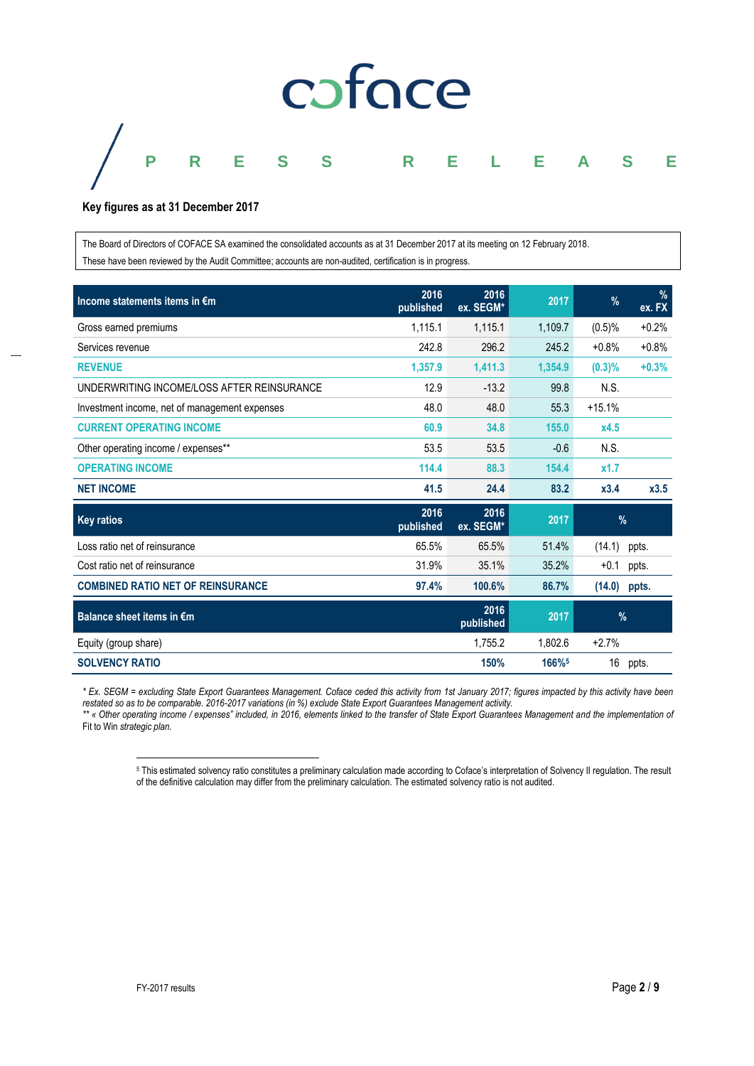

**Key figures as at 31 December 2017**

The Board of Directors of COFACE SA examined the consolidated accounts as at 31 December 2017 at its meeting on 12 February 2018. These have been reviewed by the Audit Committee; accounts are non-audited, certification is in progress.

| Income statements items in €m                 | 2016<br>published | 2016<br>ex. SEGM* | 2017    | $\%$      | %<br>ex. FX |
|-----------------------------------------------|-------------------|-------------------|---------|-----------|-------------|
| Gross earned premiums                         | 1,115.1           | 1,115.1           | 1,109.7 | (0.5)%    | $+0.2%$     |
| Services revenue                              | 242.8             | 296.2             | 245.2   | $+0.8%$   | $+0.8%$     |
| <b>REVENUE</b>                                | 1,357.9           | 1,411.3           | 1,354.9 | $(0.3)\%$ | $+0.3%$     |
| UNDERWRITING INCOME/LOSS AFTER REINSURANCE    | 12.9              | $-13.2$           | 99.8    | N.S.      |             |
| Investment income, net of management expenses | 48.0              | 48.0              | 55.3    | $+15.1%$  |             |
| <b>CURRENT OPERATING INCOME</b>               | 60.9              | 34.8              | 155.0   | x4.5      |             |
| Other operating income / expenses**           | 53.5              | 53.5              | $-0.6$  | N.S.      |             |
| <b>OPERATING INCOME</b>                       | 114.4             | 88.3              | 154.4   | x1.7      |             |
| <b>NET INCOME</b>                             | 41.5              | 24.4              | 83.2    | x3.4      | x3.5        |
| <b>Key ratios</b>                             | 2016<br>published | 2016<br>ex. SEGM* | 2017    | %         |             |
| Loss ratio net of reinsurance                 | 65.5%             | 65.5%             | 51.4%   | (14.1)    | ppts.       |
| Cost ratio net of reinsurance                 | 31.9%             | 35.1%             | 35.2%   | $+0.1$    | ppts.       |
| <b>COMBINED RATIO NET OF REINSURANCE</b>      | 97.4%             | 100.6%            | 86.7%   | (14.0)    | ppts.       |
| Balance sheet items in €m                     |                   | 2016<br>published | 2017    | %         |             |
| Equity (group share)                          |                   | 1,755.2           | 1,802.6 | $+2.7%$   |             |
| <b>SOLVENCY RATIO</b>                         |                   | 150%              | 166%    | 16        | ppts.       |

*\* Ex. SEGM = excluding State Export Guarantees Management. Coface ceded this activity from 1st January 2017; figures impacted by this activity have been restated so as to be comparable. 2016-2017 variations (in %) exclude State Export Guarantees Management activity.*

*\*\* « Other operating income / expenses" included, in 2016, elements linked to the transfer of State Export Guarantees Management and the implementation of*  Fit to Win *strategic plan.*

 $\overline{a}$ <sup>5</sup> This estimated solvency ratio constitutes a preliminary calculation made according to Coface's interpretation of Solvency II regulation. The result of the definitive calculation may differ from the preliminary calculation. The estimated solvency ratio is not audited.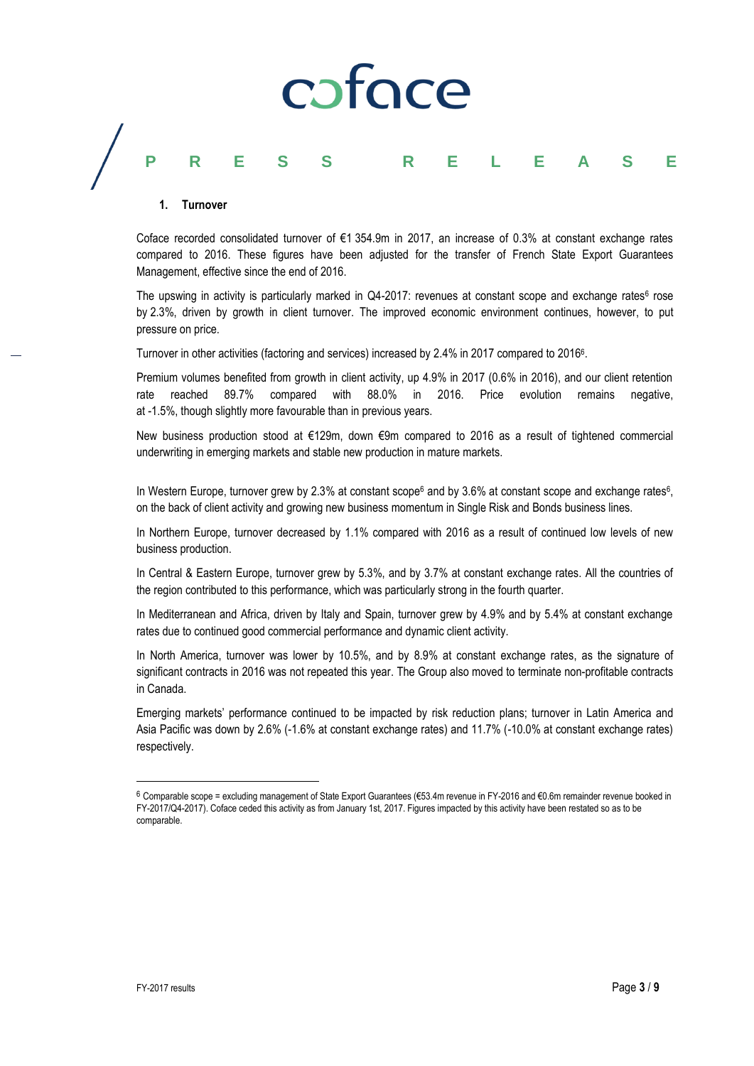# caface

# **PRESS RELEASE**

# **1. Turnover**

Coface recorded consolidated turnover of €1 354.9m in 2017, an increase of 0.3% at constant exchange rates compared to 2016. These figures have been adjusted for the transfer of French State Export Guarantees Management, effective since the end of 2016.

The upswing in activity is particularly marked in Q4-2017: revenues at constant scope and exchange rates<sup>6</sup> rose by 2.3%, driven by growth in client turnover. The improved economic environment continues, however, to put pressure on price.

Turnover in other activities (factoring and services) increased by 2.4% in 2017 compared to 2016<sup>6</sup>.

Premium volumes benefited from growth in client activity, up 4.9% in 2017 (0.6% in 2016), and our client retention rate reached 89.7% compared with 88.0% in 2016. Price evolution remains negative, at -1.5%, though slightly more favourable than in previous years.

New business production stood at €129m, down €9m compared to 2016 as a result of tightened commercial underwriting in emerging markets and stable new production in mature markets.

In Western Europe, turnover grew by 2.3% at constant scope<sup>6</sup> and by 3.6% at constant scope and exchange rates<sup>6</sup>, on the back of client activity and growing new business momentum in Single Risk and Bonds business lines.

In Northern Europe, turnover decreased by 1.1% compared with 2016 as a result of continued low levels of new business production.

In Central & Eastern Europe, turnover grew by 5.3%, and by 3.7% at constant exchange rates. All the countries of the region contributed to this performance, which was particularly strong in the fourth quarter.

In Mediterranean and Africa, driven by Italy and Spain, turnover grew by 4.9% and by 5.4% at constant exchange rates due to continued good commercial performance and dynamic client activity.

In North America, turnover was lower by 10.5%, and by 8.9% at constant exchange rates, as the signature of significant contracts in 2016 was not repeated this year. The Group also moved to terminate non-profitable contracts in Canada.

Emerging markets' performance continued to be impacted by risk reduction plans; turnover in Latin America and Asia Pacific was down by 2.6% (-1.6% at constant exchange rates) and 11.7% (-10.0% at constant exchange rates) respectively.

 $\overline{a}$ 

<sup>6</sup> Comparable scope = excluding management of State Export Guarantees (€53.4m revenue in FY-2016 and €0.6m remainder revenue booked in FY-2017/Q4-2017). Coface ceded this activity as from January 1st, 2017. Figures impacted by this activity have been restated so as to be comparable.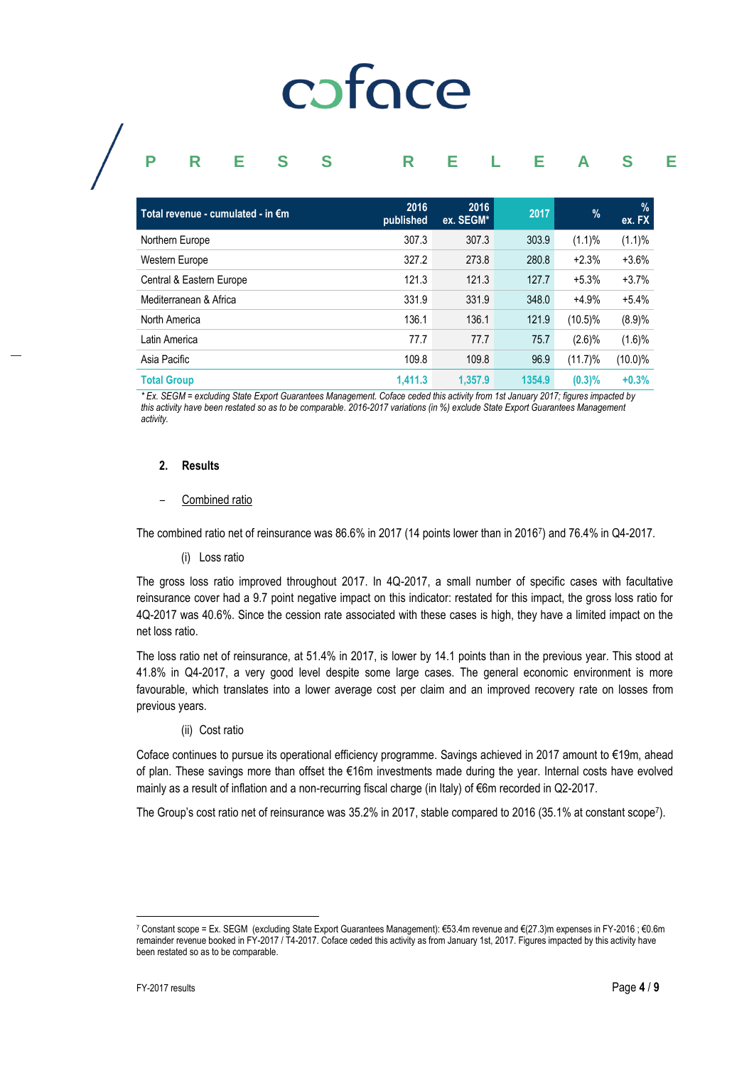# coface

# **PRESS RELEASE**

| Total revenue - cumulated - in €m | 2016<br>published | 2016<br>ex. SEGM* | 2017   | $\%$       | $\%$<br>ex. FX |
|-----------------------------------|-------------------|-------------------|--------|------------|----------------|
| Northern Europe                   | 307.3             | 307.3             | 303.9  | (1.1)%     | (1.1)%         |
| Western Europe                    | 327.2             | 273.8             | 280.8  | $+2.3%$    | $+3.6%$        |
| Central & Eastern Europe          | 121.3             | 121.3             | 127.7  | $+5.3%$    | $+3.7%$        |
| Mediterranean & Africa            | 331.9             | 331.9             | 348.0  | $+4.9%$    | $+5.4%$        |
| North America                     | 136.1             | 136.1             | 121.9  | $(10.5)\%$ | (8.9)%         |
| Latin America                     | 77.7              | 77.7              | 75.7   | $(2.6)\%$  | (1.6)%         |
| Asia Pacific                      | 109.8             | 109.8             | 96.9   | $(11.7)\%$ | $(10.0)\%$     |
| <b>Total Group</b>                | 1,411.3           | 1.357.9           | 1354.9 | (0.3)%     | $+0.3%$        |

*\* Ex. SEGM = excluding State Export Guarantees Management. Coface ceded this activity from 1st January 2017; figures impacted by this activity have been restated so as to be comparable. 2016-2017 variations (in %) exclude State Export Guarantees Management activity.*

### **2. Results**

### – Combined ratio

The combined ratio net of reinsurance was 86.6% in 2017 (14 points lower than in 2016<sup>7</sup> ) and 76.4% in Q4-2017.

#### (i) Loss ratio

The gross loss ratio improved throughout 2017. In 4Q-2017, a small number of specific cases with facultative reinsurance cover had a 9.7 point negative impact on this indicator: restated for this impact, the gross loss ratio for 4Q-2017 was 40.6%. Since the cession rate associated with these cases is high, they have a limited impact on the net loss ratio.

The loss ratio net of reinsurance, at 51.4% in 2017, is lower by 14.1 points than in the previous year. This stood at 41.8% in Q4-2017, a very good level despite some large cases. The general economic environment is more favourable, which translates into a lower average cost per claim and an improved recovery rate on losses from previous years.

# (ii) Cost ratio

Coface continues to pursue its operational efficiency programme. Savings achieved in 2017 amount to €19m, ahead of plan. These savings more than offset the €16m investments made during the year. Internal costs have evolved mainly as a result of inflation and a non-recurring fiscal charge (in Italy) of €6m recorded in Q2-2017.

The Group's cost ratio net of reinsurance was 35.2% in 2017, stable compared to 2016 (35.1% at constant scope<sup>7</sup>).

 $\overline{a}$ 

<sup>7</sup> Constant scope = Ex. SEGM (excluding State Export Guarantees Management): €53.4m revenue and €(27.3)m expenses in FY-2016 ; €0.6m remainder revenue booked in FY-2017 / T4-2017. Coface ceded this activity as from January 1st, 2017. Figures impacted by this activity have been restated so as to be comparable.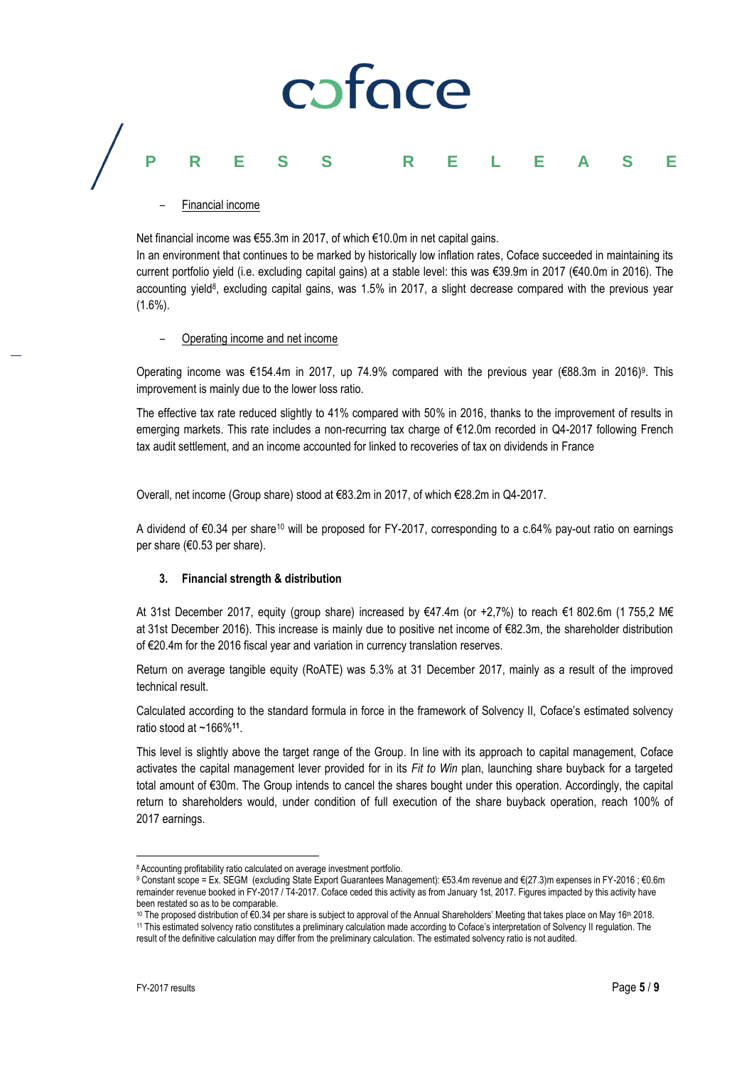# cofoce

# **PRESS RELEASE**

– Financial income

Net financial income was €55.3m in 2017, of which €10.0m in net capital gains.

In an environment that continues to be marked by historically low inflation rates, Coface succeeded in maintaining its current portfolio yield (i.e. excluding capital gains) at a stable level: this was €39.9m in 2017 (€40.0m in 2016). The accounting yield<sup>8</sup>, excluding capital gains, was 1.5% in 2017, a slight decrease compared with the previous year  $(1.6\%)$ .

– Operating income and net income

Operating income was €154.4m in 2017, up 74.9% compared with the previous year (€88.3m in 2016)<sup>9</sup>. This improvement is mainly due to the lower loss ratio.

The effective tax rate reduced slightly to 41% compared with 50% in 2016, thanks to the improvement of results in emerging markets. This rate includes a non-recurring tax charge of €12.0m recorded in Q4-2017 following French tax audit settlement, and an income accounted for linked to recoveries of tax on dividends in France

Overall, net income (Group share) stood at €83.2m in 2017, of which €28.2m in Q4-2017.

A dividend of €0.34 per share<sup>10</sup> will be proposed for FY-2017, corresponding to a c.64% pay-out ratio on earnings per share (€0.53 per share).

# **3. Financial strength & distribution**

At 31st December 2017, equity (group share) increased by €47.4m (or +2,7%) to reach €1 802.6m (1 755,2 M€ at 31st December 2016). This increase is mainly due to positive net income of €82.3m, the shareholder distribution of €20.4m for the 2016 fiscal year and variation in currency translation reserves.

Return on average tangible equity (RoATE) was 5.3% at 31 December 2017, mainly as a result of the improved technical result.

Calculated according to the standard formula in force in the framework of Solvency II, Coface's estimated solvency ratio stood at ~166%**<sup>11</sup>** .

This level is slightly above the target range of the Group. In line with its approach to capital management, Coface activates the capital management lever provided for in its *Fit to Win* plan, launching share buyback for a targeted total amount of €30m. The Group intends to cancel the shares bought under this operation. Accordingly, the capital return to shareholders would, under condition of full execution of the share buyback operation, reach 100% of 2017 earnings.

 $\overline{a}$ <sup>8</sup> Accounting profitability ratio calculated on average investment portfolio.

<sup>9</sup> Constant scope = Ex. SEGM (excluding State Export Guarantees Management): €53.4m revenue and €(27.3)m expenses in FY-2016 ; €0.6m remainder revenue booked in FY-2017 / T4-2017. Coface ceded this activity as from January 1st, 2017. Figures impacted by this activity have been restated so as to be comparable.

<sup>10</sup> The proposed distribution of €0.34 per share is subject to approval of the Annual Shareholders' Meeting that takes place on May 16th 2018. <sup>11</sup> This estimated solvency ratio constitutes a preliminary calculation made according to Coface's interpretation of Solvency II regulation. The

result of the definitive calculation may differ from the preliminary calculation. The estimated solvency ratio is not audited.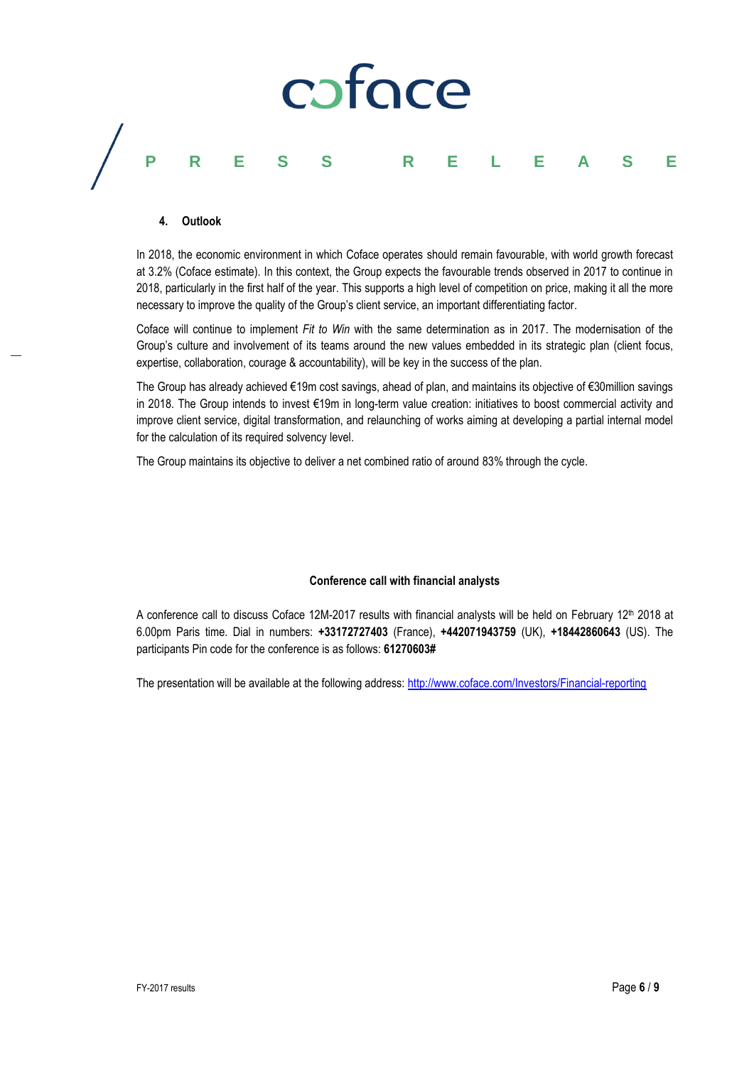

### **4. Outlook**

In 2018, the economic environment in which Coface operates should remain favourable, with world growth forecast at 3.2% (Coface estimate). In this context, the Group expects the favourable trends observed in 2017 to continue in 2018, particularly in the first half of the year. This supports a high level of competition on price, making it all the more necessary to improve the quality of the Group's client service, an important differentiating factor.

Coface will continue to implement *Fit to Win* with the same determination as in 2017. The modernisation of the Group's culture and involvement of its teams around the new values embedded in its strategic plan (client focus, expertise, collaboration, courage & accountability), will be key in the success of the plan.

The Group has already achieved €19m cost savings, ahead of plan, and maintains its objective of €30million savings in 2018. The Group intends to invest €19m in long-term value creation: initiatives to boost commercial activity and improve client service, digital transformation, and relaunching of works aiming at developing a partial internal model for the calculation of its required solvency level.

The Group maintains its objective to deliver a net combined ratio of around 83% through the cycle.

# **Conference call with financial analysts**

A conference call to discuss Coface 12M-2017 results with financial analysts will be held on February 12<sup>th</sup> 2018 at 6.00pm Paris time. Dial in numbers: **+33172727403** (France), **+442071943759** (UK), **+18442860643** (US). The participants Pin code for the conference is as follows: **61270603#**

The presentation will be available at the following address:<http://www.coface.com/Investors/Financial-reporting>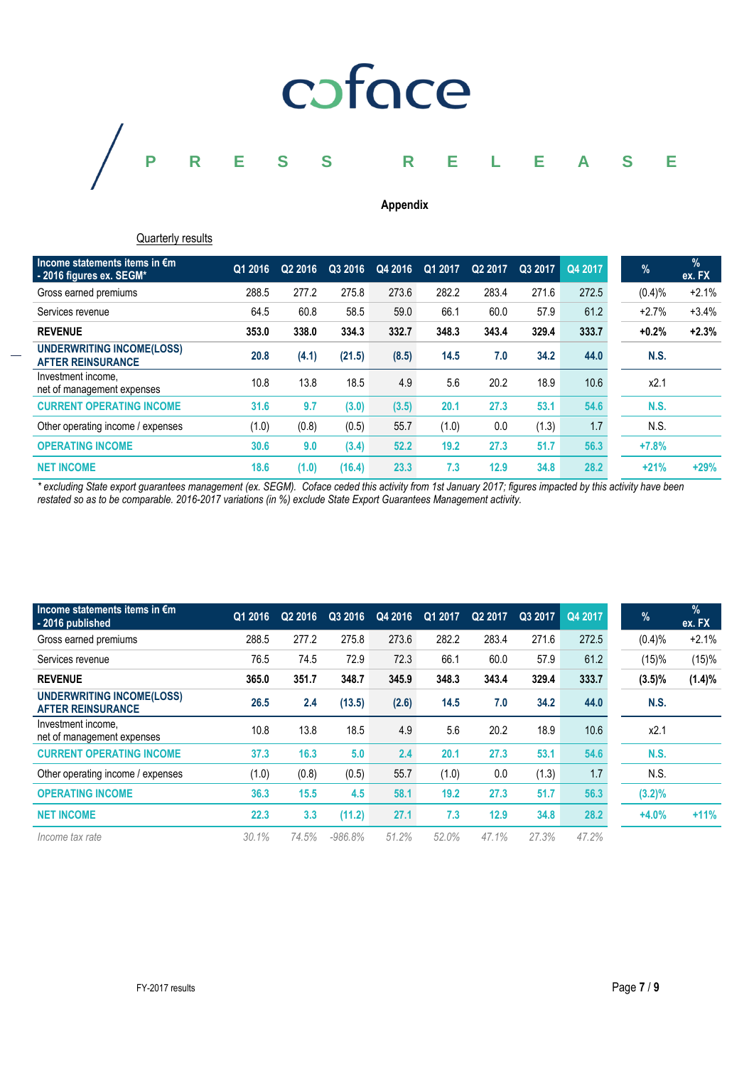

# **Appendix**

# **Quarterly results**

| Income statements items in $\epsilon$ m<br>-2016 figures ex. SEGM* | Q1 2016 | Q2 2016 | Q3 2016 | Q4 2016 | Q1 2017 | Q2 2017 | Q3 2017 | Q4 2017 | $\%$        | $\%$<br>ex. FX |
|--------------------------------------------------------------------|---------|---------|---------|---------|---------|---------|---------|---------|-------------|----------------|
| Gross earned premiums                                              | 288.5   | 277.2   | 275.8   | 273.6   | 282.2   | 283.4   | 271.6   | 272.5   | (0.4)%      | $+2.1%$        |
| Services revenue                                                   | 64.5    | 60.8    | 58.5    | 59.0    | 66.1    | 60.0    | 57.9    | 61.2    | $+2.7%$     | $+3.4%$        |
| <b>REVENUE</b>                                                     | 353.0   | 338.0   | 334.3   | 332.7   | 348.3   | 343.4   | 329.4   | 333.7   | $+0.2%$     | $+2.3%$        |
| <b>UNDERWRITING INCOME(LOSS)</b><br><b>AFTER REINSURANCE</b>       | 20.8    | (4.1)   | (21.5)  | (8.5)   | 14.5    | 7.0     | 34.2    | 44.0    | <b>N.S.</b> |                |
| Investment income,<br>net of management expenses                   | 10.8    | 13.8    | 18.5    | 4.9     | 5.6     | 20.2    | 18.9    | 10.6    | x2.1        |                |
| <b>CURRENT OPERATING INCOME</b>                                    | 31.6    | 9.7     | (3.0)   | (3.5)   | 20.1    | 27.3    | 53.1    | 54.6    | <b>N.S.</b> |                |
| Other operating income / expenses                                  | (1.0)   | (0.8)   | (0.5)   | 55.7    | (1.0)   | 0.0     | (1.3)   | 1.7     | N.S.        |                |
| <b>OPERATING INCOME</b>                                            | 30.6    | 9.0     | (3.4)   | 52.2    | 19.2    | 27.3    | 51.7    | 56.3    | $+7.8%$     |                |
| <b>NET INCOME</b>                                                  | 18.6    | (1.0)   | (16.4)  | 23.3    | 7.3     | 12.9    | 34.8    | 28.2    | $+21%$      | $+29%$         |

*\* excluding State export guarantees management (ex. SEGM). Coface ceded this activity from 1st January 2017; figures impacted by this activity have been restated so as to be comparable. 2016-2017 variations (in %) exclude State Export Guarantees Management activity.*

| Income statements items in $\epsilon$ m<br>-2016 published   | Q1 2016 | Q <sub>2</sub> 2016 | Q3 2016   | Q4 2016 | Q12017 | Q2 2017 | Q3 2017 | Q4 2017 | $\%$        | $\frac{9}{6}$<br>ex. FX |
|--------------------------------------------------------------|---------|---------------------|-----------|---------|--------|---------|---------|---------|-------------|-------------------------|
| Gross earned premiums                                        | 288.5   | 277.2               | 275.8     | 273.6   | 282.2  | 283.4   | 271.6   | 272.5   | (0.4)%      | $+2.1%$                 |
| Services revenue                                             | 76.5    | 74.5                | 72.9      | 72.3    | 66.1   | 60.0    | 57.9    | 61.2    | (15)%       | (15)%                   |
| <b>REVENUE</b>                                               | 365.0   | 351.7               | 348.7     | 345.9   | 348.3  | 343.4   | 329.4   | 333.7   | $(3.5)\%$   | (1.4)%                  |
| <b>UNDERWRITING INCOME(LOSS)</b><br><b>AFTER REINSURANCE</b> | 26.5    | 2.4                 | (13.5)    | (2.6)   | 14.5   | 7.0     | 34.2    | 44.0    | N.S.        |                         |
| Investment income,<br>net of management expenses             | 10.8    | 13.8                | 18.5      | 4.9     | 5.6    | 20.2    | 18.9    | 10.6    | x2.1        |                         |
| <b>CURRENT OPERATING INCOME</b>                              | 37.3    | 16.3                | 5.0       | 2.4     | 20.1   | 27.3    | 53.1    | 54.6    | <b>N.S.</b> |                         |
| Other operating income / expenses                            | (1.0)   | (0.8)               | (0.5)     | 55.7    | (1.0)  | 0.0     | (1.3)   | 1.7     | N.S.        |                         |
| <b>OPERATING INCOME</b>                                      | 36.3    | 15.5                | 4.5       | 58.1    | 19.2   | 27.3    | 51.7    | 56.3    | $(3.2)\%$   |                         |
| <b>NET INCOME</b>                                            | 22.3    | 3.3                 | (11.2)    | 27.1    | 7.3    | 12.9    | 34.8    | 28.2    | $+4.0%$     | $+11%$                  |
| Income tax rate                                              | 30.1%   | 74.5%               | $-986.8%$ | 51.2%   | 52.0%  | 47.1%   | 27.3%   | 47.2%   |             |                         |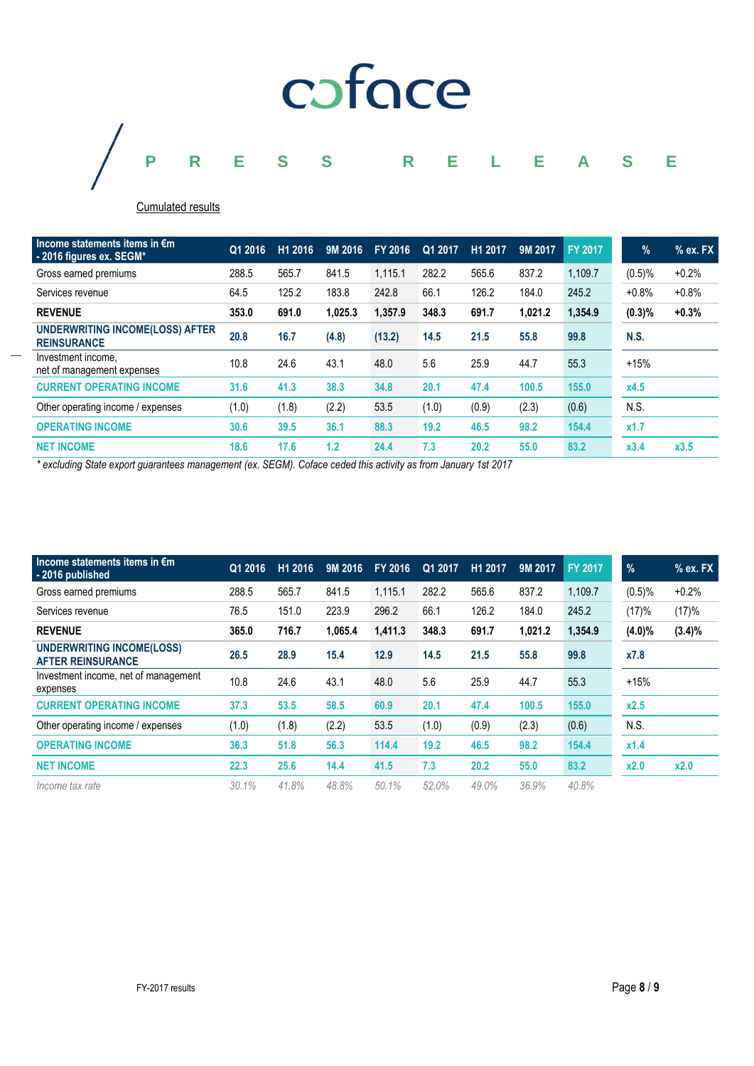

# Cumulated results

| Income statements items in $\epsilon$ m<br>-2016 figures ex. SEGM* | Q1 2016 | H1 2016 | 9M 2016 | FY 2016 | Q1 2017 | H1 2017 | 9M 2017 | <b>FY 2017</b> | $\%$        | $%$ ex. FX |
|--------------------------------------------------------------------|---------|---------|---------|---------|---------|---------|---------|----------------|-------------|------------|
| Gross earned premiums                                              | 288.5   | 565.7   | 841.5   | 1,115.1 | 282.2   | 565.6   | 837.2   | 1,109.7        | (0.5)%      | $+0.2%$    |
| Services revenue                                                   | 64.5    | 125.2   | 183.8   | 242.8   | 66.1    | 126.2   | 184.0   | 245.2          | $+0.8%$     | $+0.8%$    |
| <b>REVENUE</b>                                                     | 353.0   | 691.0   | 1.025.3 | 1,357.9 | 348.3   | 691.7   | 1,021.2 | 1,354.9        | (0.3)%      | $+0.3%$    |
| <b>UNDERWRITING INCOME(LOSS) AFTER</b><br><b>REINSURANCE</b>       | 20.8    | 16.7    | (4.8)   | (13.2)  | 14.5    | 21.5    | 55.8    | 99.8           | <b>N.S.</b> |            |
| Investment income.<br>net of management expenses                   | 10.8    | 24.6    | 43.1    | 48.0    | 5.6     | 25.9    | 44.7    | 55.3           | $+15%$      |            |
| <b>CURRENT OPERATING INCOME</b>                                    | 31.6    | 41.3    | 38.3    | 34.8    | 20.1    | 47.4    | 100.5   | 155.0          | x4.5        |            |
| Other operating income / expenses                                  | (1.0)   | (1.8)   | (2.2)   | 53.5    | (1.0)   | (0.9)   | (2.3)   | (0.6)          | N.S.        |            |
| <b>OPERATING INCOME</b>                                            | 30.6    | 39.5    | 36.1    | 88.3    | 19.2    | 46.5    | 98.2    | 154.4          | x1.7        |            |
| <b>NET INCOME</b>                                                  | 18.6    | 17.6    | 1.2     | 24.4    | 7.3     | 20.2    | 55.0    | 83.2           | x3.4        | x3.5       |

*\* excluding State export guarantees management (ex. SEGM). Coface ceded this activity as from January 1st 2017*

| Income statements items in $\epsilon$ m<br>-2016 published   | Q1 2016 | H1 2016 | 9M 2016 | FY 2016 | Q1 2017 | H1 2017 | 9M 2017 | FY 2017 | $\frac{9}{6}$ | $%$ ex. FX |
|--------------------------------------------------------------|---------|---------|---------|---------|---------|---------|---------|---------|---------------|------------|
| Gross earned premiums                                        | 288.5   | 565.7   | 841.5   | 1.115.1 | 282.2   | 565.6   | 837.2   | 1,109.7 | $(0.5)\%$     | $+0.2%$    |
| Services revenue                                             | 76.5    | 151.0   | 223.9   | 296.2   | 66.1    | 126.2   | 184.0   | 245.2   | (17)%         | (17)%      |
| <b>REVENUE</b>                                               | 365.0   | 716.7   | 1.065.4 | 1,411.3 | 348.3   | 691.7   | 1.021.2 | 1,354.9 | $(4.0)\%$     | $(3.4)\%$  |
| <b>UNDERWRITING INCOME(LOSS)</b><br><b>AFTER REINSURANCE</b> | 26.5    | 28.9    | 15.4    | 12.9    | 14.5    | 21.5    | 55.8    | 99.8    | x7.8          |            |
| Investment income, net of management<br>expenses             | 10.8    | 24.6    | 43.1    | 48.0    | 5.6     | 25.9    | 44.7    | 55.3    | $+15%$        |            |
| <b>CURRENT OPERATING INCOME</b>                              | 37.3    | 53.5    | 58.5    | 60.9    | 20.1    | 47.4    | 100.5   | 155.0   | x2.5          |            |
| Other operating income / expenses                            | (1.0)   | (1.8)   | (2.2)   | 53.5    | (1.0)   | (0.9)   | (2.3)   | (0.6)   | N.S.          |            |
| <b>OPERATING INCOME</b>                                      | 36.3    | 51.8    | 56.3    | 114.4   | 19.2    | 46.5    | 98.2    | 154.4   | x1.4          |            |
| <b>NET INCOME</b>                                            | 22.3    | 25.6    | 14.4    | 41.5    | 7.3     | 20.2    | 55.0    | 83.2    | x2.0          | x2.0       |
| Income tax rate                                              | 30.1%   | 41.8%   | 48.8%   | 50.1%   | 52.0%   | 49.0%   | 36.9%   | 40.8%   |               |            |